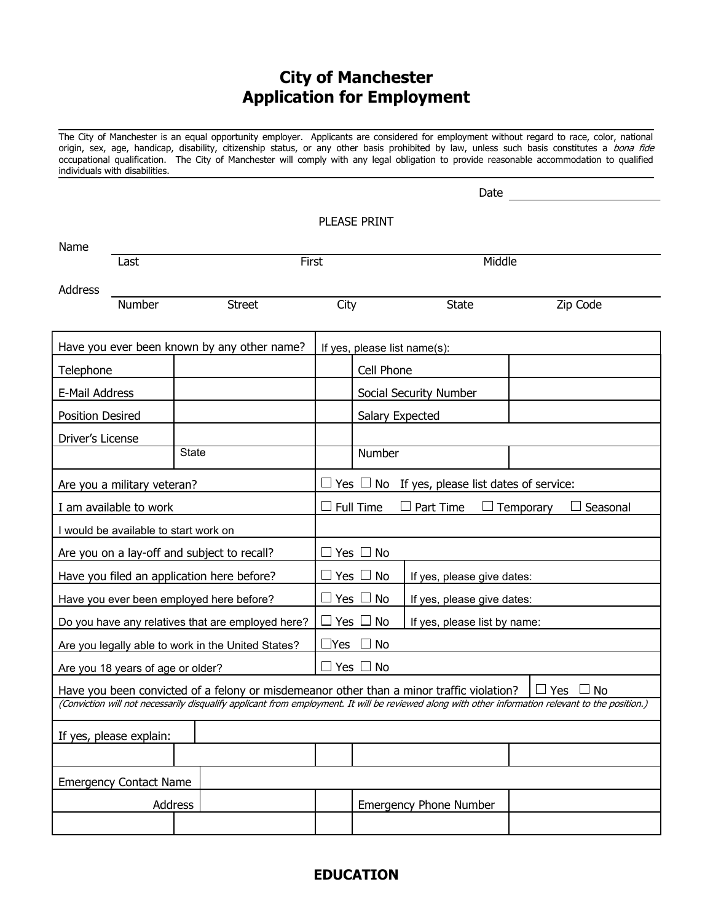# **City of Manchester Application for Employment**

The City of Manchester is an equal opportunity employer. Applicants are considered for employment without regard to race, color, national origin, sex, age, handicap, disability, citizenship status, or any other basis prohibited by law, unless such basis constitutes a *bona fide* occupational qualification. The City of Manchester will comply with any legal obligation to provide reasonable accommodation to qualified individuals with disabilities.

|                                                                                                                                                    |                             | Date          |                                                     |                                           |                              |           |  |
|----------------------------------------------------------------------------------------------------------------------------------------------------|-----------------------------|---------------|-----------------------------------------------------|-------------------------------------------|------------------------------|-----------|--|
| <b>PLEASE PRINT</b>                                                                                                                                |                             |               |                                                     |                                           |                              |           |  |
| Name                                                                                                                                               |                             |               |                                                     |                                           |                              |           |  |
|                                                                                                                                                    | Last                        | First         |                                                     |                                           | Middle                       |           |  |
| Address                                                                                                                                            |                             |               |                                                     |                                           |                              |           |  |
|                                                                                                                                                    | Number                      | <b>Street</b> | City                                                |                                           | <b>State</b>                 | Zip Code  |  |
| Have you ever been known by any other name?                                                                                                        |                             |               |                                                     | If yes, please list name(s):              |                              |           |  |
| Telephone                                                                                                                                          |                             |               | Cell Phone                                          |                                           |                              |           |  |
| E-Mail Address                                                                                                                                     |                             |               |                                                     | Social Security Number                    |                              |           |  |
| Position Desired                                                                                                                                   |                             |               |                                                     | Salary Expected                           |                              |           |  |
| Driver's License                                                                                                                                   |                             |               |                                                     |                                           |                              |           |  |
|                                                                                                                                                    |                             | State         |                                                     | Number                                    |                              |           |  |
|                                                                                                                                                    | Are you a military veteran? |               | Yes $\Box$ No If yes, please list dates of service: |                                           |                              |           |  |
|                                                                                                                                                    | I am available to work      |               | Full Time<br>Part Time<br>Temporary<br>Seasonal     |                                           |                              |           |  |
| I would be available to start work on                                                                                                              |                             |               |                                                     |                                           |                              |           |  |
| Are you on a lay-off and subject to recall?                                                                                                        |                             |               | Yes  <br>$\Box$ No                                  |                                           |                              |           |  |
| Have you filed an application here before?                                                                                                         |                             |               |                                                     | Yes<br>No<br>If yes, please give dates:   |                              |           |  |
| Have you ever been employed here before?                                                                                                           |                             |               |                                                     | Yes  <br>No<br>If yes, please give dates: |                              |           |  |
| Do you have any relatives that are employed here?                                                                                                  |                             |               | Yes                                                 | No                                        | If yes, please list by name: |           |  |
| Are you legally able to work in the United States?                                                                                                 |                             |               | No<br>$\sqcup$ Yes                                  |                                           |                              |           |  |
| Are you 18 years of age or older?                                                                                                                  |                             |               | Yes  <br>No<br>$\mathbf{I}$                         |                                           |                              |           |  |
| Have you been convicted of a felony or misdemeanor other than a minor traffic violation?                                                           |                             |               |                                                     |                                           |                              | Yes<br>No |  |
| (Conviction will not necessarily disqualify applicant from employment. It will be reviewed along with other information relevant to the position.) |                             |               |                                                     |                                           |                              |           |  |
| If yes, please explain:                                                                                                                            |                             |               |                                                     |                                           |                              |           |  |
|                                                                                                                                                    |                             |               |                                                     |                                           |                              |           |  |
| <b>Emergency Contact Name</b>                                                                                                                      |                             |               |                                                     |                                           |                              |           |  |
| Address                                                                                                                                            |                             |               |                                                     | <b>Emergency Phone Number</b>             |                              |           |  |
|                                                                                                                                                    |                             |               |                                                     |                                           |                              |           |  |

#### **EDUCATION**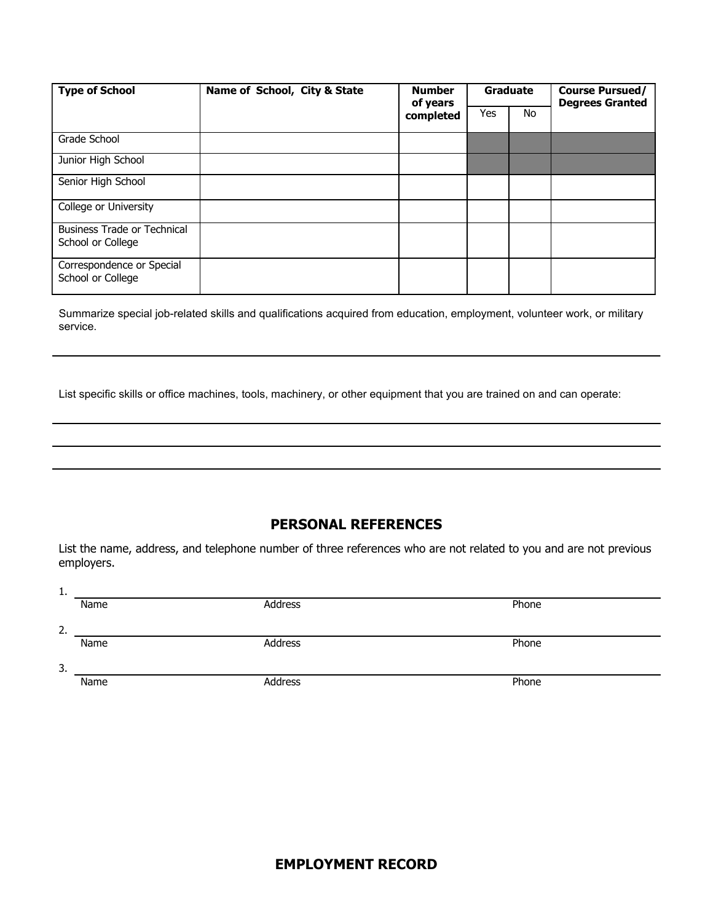| <b>Type of School</b>                                   | Name of School, City & State | <b>Number</b><br>of years | Graduate |           | <b>Course Pursued/</b><br><b>Degrees Granted</b> |
|---------------------------------------------------------|------------------------------|---------------------------|----------|-----------|--------------------------------------------------|
|                                                         |                              | completed                 | Yes      | <b>No</b> |                                                  |
| Grade School                                            |                              |                           |          |           |                                                  |
| Junior High School                                      |                              |                           |          |           |                                                  |
| Senior High School                                      |                              |                           |          |           |                                                  |
| College or University                                   |                              |                           |          |           |                                                  |
| <b>Business Trade or Technical</b><br>School or College |                              |                           |          |           |                                                  |
| Correspondence or Special<br>School or College          |                              |                           |          |           |                                                  |

Summarize special job-related skills and qualifications acquired from education, employment, volunteer work, or military service.

List specific skills or office machines, tools, machinery, or other equipment that you are trained on and can operate:

### **PERSONAL REFERENCES**

List the name, address, and telephone number of three references who are not related to you and are not previous employers.

| <b>L.</b> |      |         |       |
|-----------|------|---------|-------|
|           | Name | Address | Phone |
|           |      |         |       |
| 2.        |      |         |       |
|           | Name | Address | Phone |
|           |      |         |       |
| 3.        |      |         |       |
|           | Name | Address | Phone |
|           |      |         |       |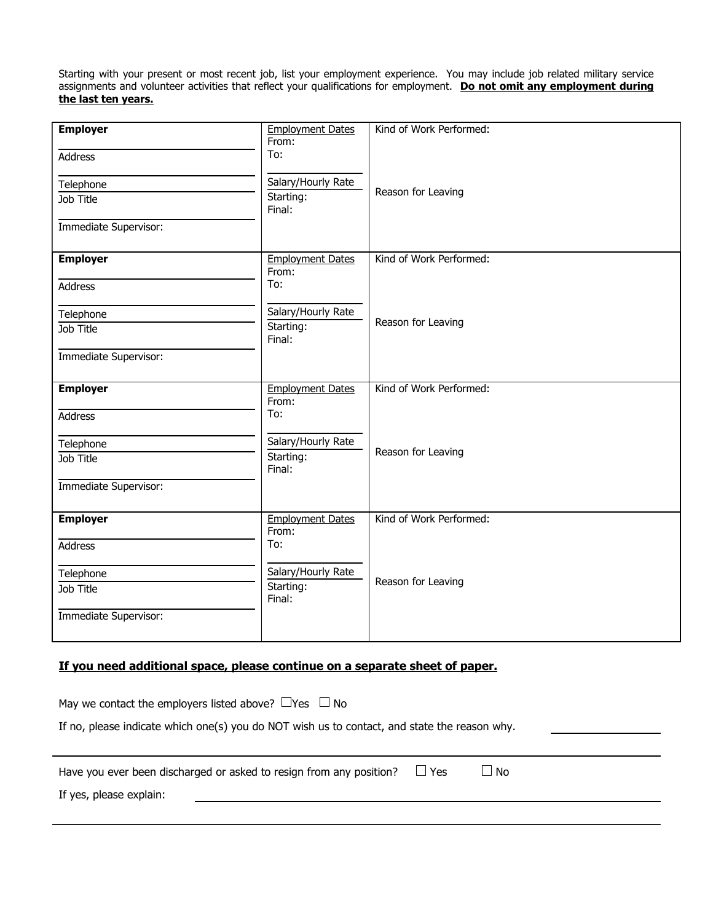Starting with your present or most recent job, list your employment experience. You may include job related military service assignments and volunteer activities that reflect your qualifications for employment. **Do not omit any employment during the last ten years.**

| <b>Employer</b>       | <b>Employment Dates</b>          | Kind of Work Performed: |
|-----------------------|----------------------------------|-------------------------|
|                       | From:<br>To:                     |                         |
| <b>Address</b>        |                                  |                         |
| Telephone             | Salary/Hourly Rate               |                         |
| Job Title             | Starting:                        | Reason for Leaving      |
|                       | Final:                           |                         |
| Immediate Supervisor: |                                  |                         |
|                       |                                  |                         |
| <b>Employer</b>       | <b>Employment Dates</b>          | Kind of Work Performed: |
| <b>Address</b>        | From:<br>To:                     |                         |
|                       |                                  |                         |
| Telephone             | Salary/Hourly Rate               |                         |
| Job Title             | Starting:                        | Reason for Leaving      |
|                       | Final:                           |                         |
| Immediate Supervisor: |                                  |                         |
|                       |                                  | Kind of Work Performed: |
| <b>Employer</b>       | <b>Employment Dates</b><br>From: |                         |
| <b>Address</b>        | To:                              |                         |
|                       |                                  |                         |
| Telephone             | Salary/Hourly Rate               | Reason for Leaving      |
| Job Title             | Starting:<br>Final:              |                         |
| Immediate Supervisor: |                                  |                         |
|                       |                                  |                         |
| <b>Employer</b>       | <b>Employment Dates</b>          | Kind of Work Performed: |
|                       | From:                            |                         |
| <b>Address</b>        | To:                              |                         |
| Telephone             | Salary/Hourly Rate               |                         |
| Job Title             | Starting:                        | Reason for Leaving      |
|                       | Final:                           |                         |
| Immediate Supervisor: |                                  |                         |
|                       |                                  |                         |

### **If you need additional space, please continue on a separate sheet of paper.**

| May we contact the employers listed above? $\Box$ Yes $\Box$ No<br>If no, please indicate which one(s) you do NOT wish us to contact, and state the reason why. |  |
|-----------------------------------------------------------------------------------------------------------------------------------------------------------------|--|
|                                                                                                                                                                 |  |
| $\Box$ Yes<br>$\Box$ No<br>Have you ever been discharged or asked to resign from any position?<br>If yes, please explain:                                       |  |
|                                                                                                                                                                 |  |